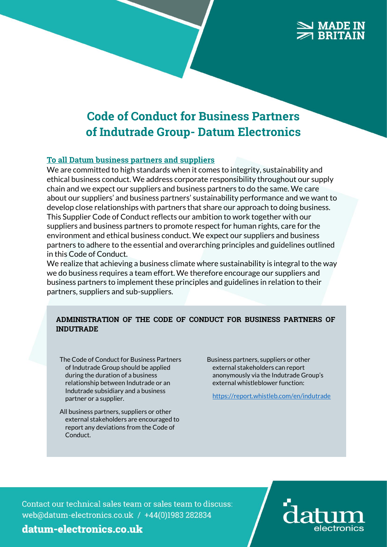# **MADE**

# Code of Conduct for Business Partners of Indutrade Group- Datum Electronics

#### To all Datum business partners and suppliers

We are committed to high standards when it comes to integrity, sustainability and ethical business conduct. We address corporate responsibility throughout our supply chain and we expect our suppliers and business partners to do the same. We care about our suppliers' and business partners' sustainability performance and we want to develop close relationships with partners that share our approach to doing business. This Supplier Code of Conduct reflects our ambition to work together with our suppliers and business partners to promote respect for human rights, care for the environment and ethical business conduct. We expect our suppliers and business partners to adhere to the essential and overarching principles and guidelines outlined in this Code of Conduct.

We realize that achieving a business climate where sustainability is integral to the way we do business requires a team effort. We therefore encourage our suppliers and business partners to implement these principles and guidelines in relation to their partners, suppliers and sub-suppliers.

#### ADMINISTRATION OF THE CODE OF CONDUCT FOR BUSINESS PARTNERS OF INDUTRADE

- The Code of Conduct for Business Partners of Indutrade Group should be applied during the duration of a business relationship between Indutrade or an Indutrade subsidiary and a business partner or a supplier.
- All business partners, suppliers or other external stakeholders are encouraged to report any deviations from the Code of Conduct.

Business partners, suppliers or other external stakeholders can report anonymously via the Indutrade Group's external whistleblower function:

<https://report.whistleb.com/en/indutrade>

Contact our technical sales team or sales team to discuss: web@datum-electronics.co.uk / +44(0)1983 282834

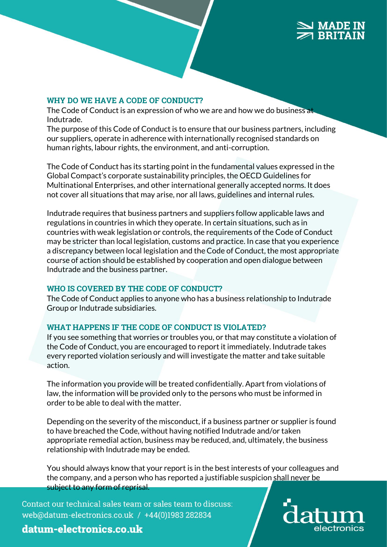#### WHY DO WE HAVE A CODE OF CONDUCT?

The Code of Conduct is an expression of who we are and how we do business at Indutrade.

The purpose of this Code of Conduct is to ensure that our business partners, including our suppliers, operate in adherence with internationally recognised standards on human rights, labour rights, the environment, and anti-corruption.

The Code of Conduct has its starting point in the fundamental values expressed in the Global Compact's corporate sustainability principles, the OECD Guidelines for Multinational Enterprises, and other international generally accepted norms. It does not cover all situations that may arise, nor all laws, guidelines and internal rules.

Indutrade requires that business partners and suppliers follow applicable laws and regulations in countries in which they operate. In certain situations, such as in countries with weak legislation or controls, the requirements of the Code of Conduct may be stricter than local legislation, customs and practice. In case that you experience a discrepancy between local legislation and the Code of Conduct, the most appropriate course of action should be established by cooperation and open dialogue between Indutrade and the business partner.

#### WHO IS COVERED BY THE CODE OF CONDUCT?

The Code of Conduct applies to anyone who has a business relationship to Indutrade Group or Indutrade subsidiaries.

#### WHAT HAPPENS IF THE CODE OF CONDUCT IS VIOLATED?

If you see something that worries or troubles you, or that may constitute a violation of the Code of Conduct, you are encouraged to report it immediately. Indutrade takes every reported violation seriously and will investigate the matter and take suitable action.

The information you provide will be treated confidentially. Apart from violations of law, the information will be provided only to the persons who must be informed in order to be able to deal with the matter.

Depending on the severity of the misconduct, if a business partner or supplier is found to have breached the Code, without having notified Indutrade and/or taken appropriate remedial action, business may be reduced, and, ultimately, the business relationship with Indutrade may be ended.

You should always know that your report is in the best interests of your colleagues and the company, and a person who has reported a justifiable suspicion shall never be subject to any form of reprisal.

Contact our technical sales team or sales team to discuss: web@datum-electronics.co.uk / +44(0)1983 282834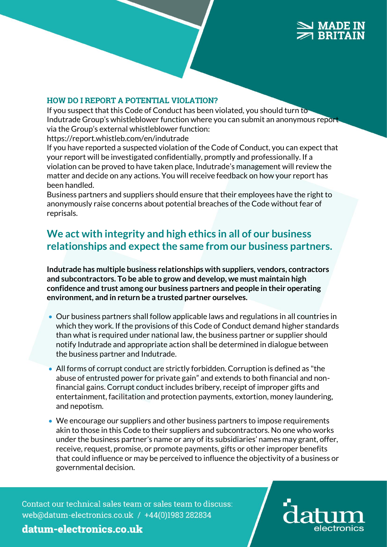#### HOW DO I REPORT A POTENTIAL VIOLATION?

If you suspect that this Code of Conduct has been violated, you should turn to Indutrade Group's whistleblower function where you can submit an anonymous report via the Group's external whistleblower function:

https://report.whistleb.com/en/indutrade

If you have reported a suspected violation of the Code of Conduct, you can expect that your report will be investigated confidentially, promptly and professionally. If a violation can be proved to have taken place, Indutrade's management will review the matter and decide on any actions. You will receive feedback on how your report has been handled.

Business partners and suppliers should ensure that their employees have the right to anonymously raise concerns about potential breaches of the Code without fear of reprisals.

# **We act with integrity and high ethics in all of our business relationships and expect the same from our business partners.**

**Indutrade has multiple business relationships with suppliers, vendors, contractors and subcontractors. To be able to grow and develop, we must maintain high confidence and trust among our business partners and people in their operating environment, and in return be a trusted partner ourselves.**

- Our business partners shall follow applicable laws and regulations in all countries in which they work. If the provisions of this Code of Conduct demand higher standards than what is required under national law, the business partner or supplier should notify Indutrade and appropriate action shall be determined in dialogue between the business partner and Indutrade.
- All forms of corrupt conduct are strictly forbidden. Corruption is defined as "the abuse of entrusted power for private gain" and extends to both financial and nonfinancial gains. Corrupt conduct includes bribery, receipt of improper gifts and entertainment, facilitation and protection payments, extortion, money laundering, and nepotism.
- We encourage our suppliers and other business partners to impose requirements akin to those in this Code to their suppliers and subcontractors. No one who works under the business partner's name or any of its subsidiaries' names may grant, offer, receive, request, promise, or promote payments, gifts or other improper benefits that could influence or may be perceived to influence the objectivity of a business or governmental decision.

Contact our technical sales team or sales team to discuss: web@datum-electronics.co.uk / +44(0)1983 282834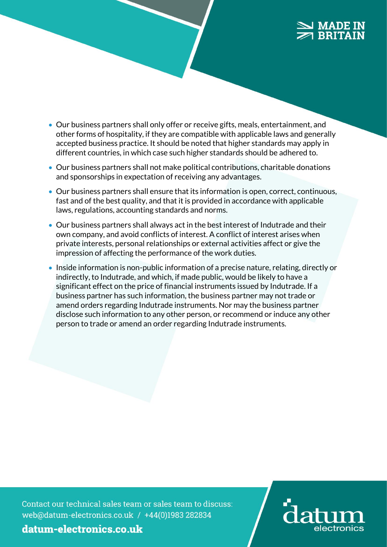### **MADE IN RRITA**

- Our business partners shall only offer or receive gifts, meals, entertainment, and other forms of hospitality, if they are compatible with applicable laws and generally accepted business practice. It should be noted that higher standards may apply in different countries, in which case such higher standards should be adhered to.
- Our business partners shall not make political contributions, charitable donations and sponsorships in expectation of receiving any advantages.
- Our business partners shall ensure that its information is open, correct, continuous, fast and of the best quality, and that it is provided in accordance with applicable laws, regulations, accounting standards and norms.
- Our business partners shall always act in the best interest of Indutrade and their own company, and avoid conflicts of interest. A conflict of interest arises when private interests, personal relationships or external activities affect or give the impression of affecting the performance of the work duties.
- Inside information is non-public information of a precise nature, relating, directly or indirectly, to Indutrade, and which, if made public, would be likely to have a significant effect on the price of financial instruments issued by Indutrade. If a business partner has such information, the business partner may not trade or amend orders regarding Indutrade instruments. Nor may the business partner disclose such information to any other person, or recommend or induce any other person to trade or amend an order regarding Indutrade instruments.

Contact our technical sales team or sales team to discuss: web@datum-electronics.co.uk / +44(0)1983 282834

electronics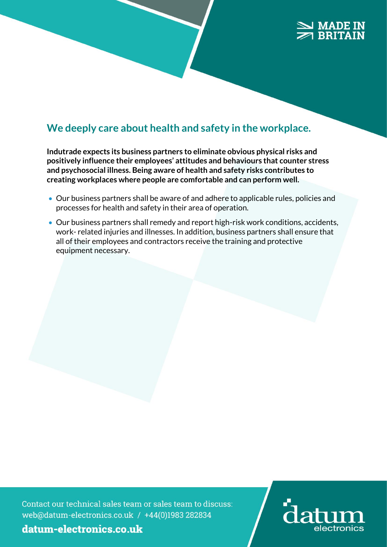### **MADE IN RRITAIN**

# **We deeply care about health and safety in the workplace.**

**Indutrade expects its business partners to eliminate obvious physical risks and positively influence their employees' attitudes and behaviours that counter stress and psychosocial illness. Being aware of health and safety risks contributes to creating workplaces where people are comfortable and can perform well.**

- Our business partners shall be aware of and adhere to applicable rules, policies and processes for health and safety in their area of operation.
- Our business partners shall remedy and report high-risk work conditions, accidents, work- related injuries and illnesses. In addition, business partners shall ensure that all of their employees and contractors receive the training and protective equipment necessary.

Contact our technical sales team or sales team to discuss: web@datum-electronics.co.uk / +44(0)1983 282834

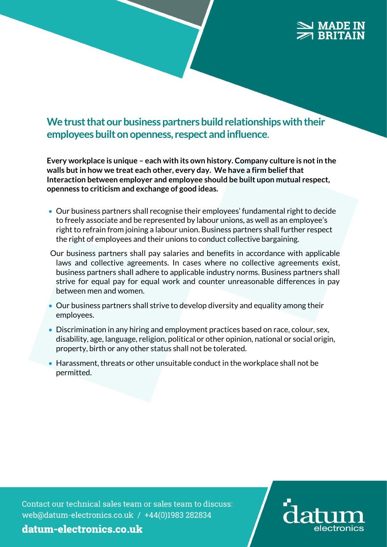# **We trust that our business partners build relationships with their employees built on openness, respect and influence**.

**Every workplace is unique – each with its own history. Company culture is not in the walls but in how we treat each other, every day. We have a firm belief that Interaction between employer and employee should be built upon mutual respect, openness to criticism and exchange of good ideas.** 

- Our business partners shall recognise their employees' fundamental right to decide to freely associate and be represented by labour unions, as well as an employee's right to refrain from joining a labour union. Business partners shall further respect the right of employees and their unions to conduct collective bargaining.
- Our business partners shall pay salaries and benefits in accordance with applicable laws and collective agreements. In cases where no collective agreements exist, business partners shall adhere to applicable industry norms. Business partners shall strive for equal pay for equal work and counter unreasonable differences in pay between men and women.
- Our business partners shall strive to develop diversity and equality among their employees.
- Discrimination in any hiring and employment practices based on race, colour, sex, disability, age, language, religion, political or other opinion, national or social origin, property, birth or any other status shall not be tolerated.
- Harassment, threats or other unsuitable conduct in the workplace shall not be permitted.

Contact our technical sales team or sales team to discuss: web@datum-electronics.co.uk / +44(0)1983 282834

electronics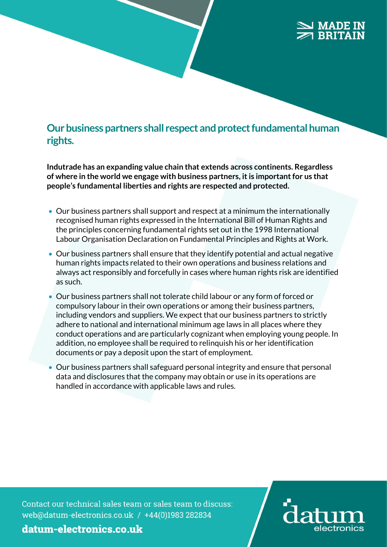## **Our business partners shall respect and protect fundamental human rights.**

**Indutrade has an expanding value chain that extends across continents. Regardless of where in the world we engage with business partners, it is important for us that people's fundamental liberties and rights are respected and protected.**

- Our business partners shall support and respect at a minimum the internationally recognised human rights expressed in the International Bill of Human Rights and the principles concerning fundamental rights set out in the 1998 International Labour Organisation Declaration on Fundamental Principles and Rights at Work.
- Our business partners shall ensure that they identify potential and actual negative human rights impacts related to their own operations and business relations and always act responsibly and forcefully in cases where human rights risk are identified as such.
- Our business partners shall not tolerate child labour or any form of forced or compulsory labour in their own operations or among their business partners, including vendors and suppliers. We expect that our business partners to strictly adhere to national and international minimum age laws in all places where they conduct operations and are particularly cognizant when employing young people. In addition, no employee shall be required to relinquish his or her identification documents or pay a deposit upon the start of employment.
- Our business partners shall safeguard personal integrity and ensure that personal data and disclosures that the company may obtain or use in its operations are handled in accordance with applicable laws and rules.

Contact our technical sales team or sales team to discuss: web@datum-electronics.co.uk / +44(0)1983 282834

electronics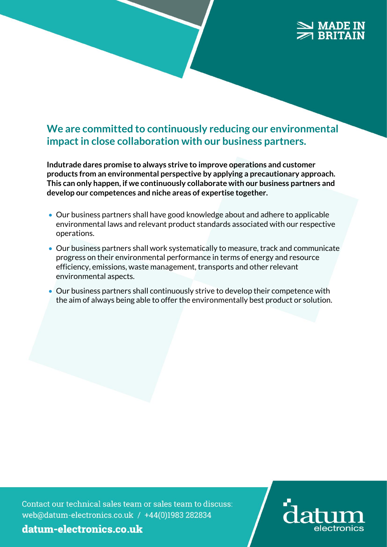# **MADE IN**

# **We are committed to continuously reducing our environmental impact in close collaboration with our business partners.**

**Indutrade dares promise to always strive to improve operations and customer products from an environmental perspective by applying a precautionary approach. This can only happen, if we continuously collaborate with our business partners and develop our competences and niche areas of expertise together.**

- Our business partners shall have good knowledge about and adhere to applicable environmental laws and relevant product standards associated with our respective operations.
- Our business partners shall work systematically to measure, track and communicate progress on their environmental performance in terms of energy and resource efficiency, emissions, waste management, transports and other relevant environmental aspects.
- Our business partners shall continuously strive to develop their competence with the aim of always being able to offer the environmentally best product or solution.

Contact our technical sales team or sales team to discuss: web@datum-electronics.co.uk / +44(0)1983 282834

electronics